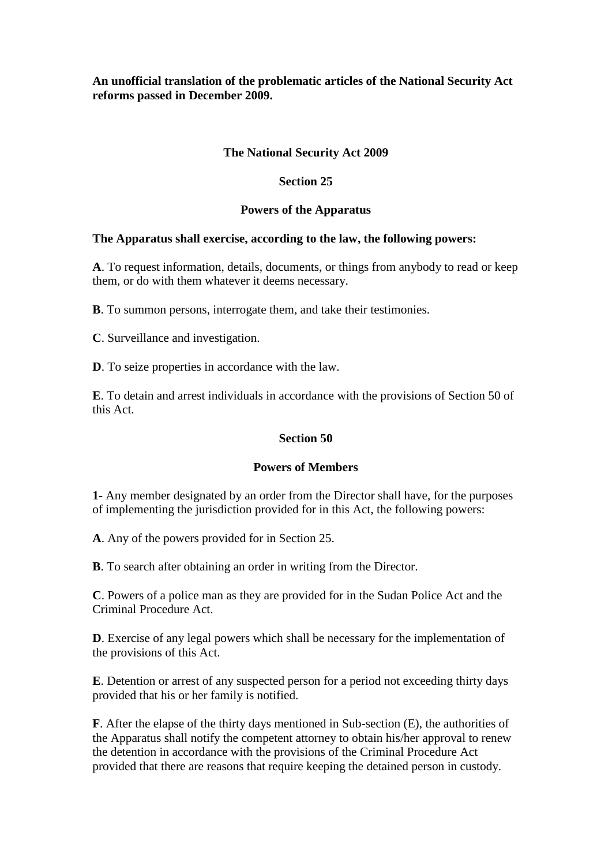## **An unofficial translation of the problematic articles of the National Security Act reforms passed in December 2009.**

# **The National Security Act 2009**

## **Section 25**

## **Powers of the Apparatus**

### **The Apparatus shall exercise, according to the law, the following powers:**

**A**. To request information, details, documents, or things from anybody to read or keep them, or do with them whatever it deems necessary.

**B**. To summon persons, interrogate them, and take their testimonies.

**C**. Surveillance and investigation.

**D**. To seize properties in accordance with the law.

**E**. To detain and arrest individuals in accordance with the provisions of Section 50 of this Act.

# **Section 50**

### **Powers of Members**

**1-** Any member designated by an order from the Director shall have, for the purposes of implementing the jurisdiction provided for in this Act, the following powers:

**A**. Any of the powers provided for in Section 25.

**B**. To search after obtaining an order in writing from the Director.

**C**. Powers of a police man as they are provided for in the Sudan Police Act and the Criminal Procedure Act.

**D**. Exercise of any legal powers which shall be necessary for the implementation of the provisions of this Act.

**E**. Detention or arrest of any suspected person for a period not exceeding thirty days provided that his or her family is notified.

**F**. After the elapse of the thirty days mentioned in Sub-section (E), the authorities of the Apparatus shall notify the competent attorney to obtain his/her approval to renew the detention in accordance with the provisions of the Criminal Procedure Act provided that there are reasons that require keeping the detained person in custody.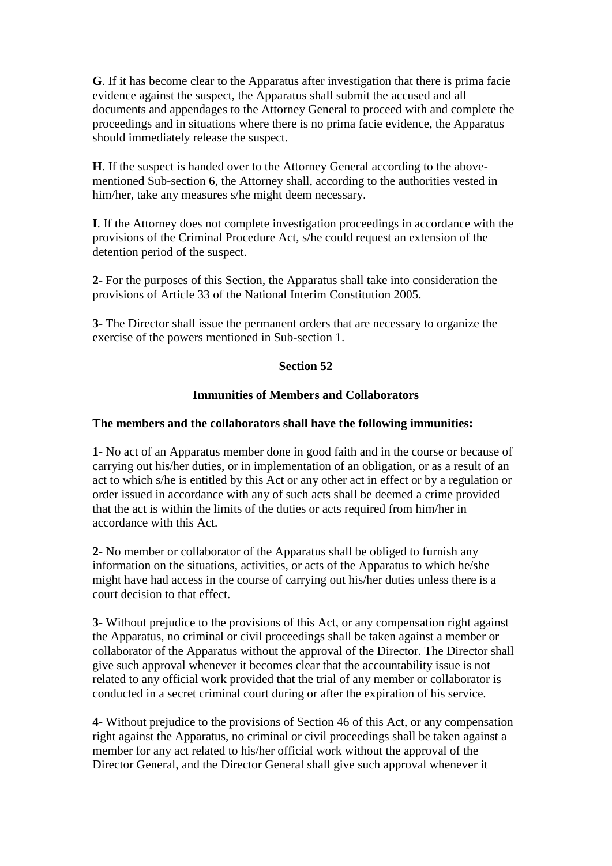**G**. If it has become clear to the Apparatus after investigation that there is prima facie evidence against the suspect, the Apparatus shall submit the accused and all documents and appendages to the Attorney General to proceed with and complete the proceedings and in situations where there is no prima facie evidence, the Apparatus should immediately release the suspect.

**H**. If the suspect is handed over to the Attorney General according to the abovementioned Sub-section 6, the Attorney shall, according to the authorities vested in him/her, take any measures s/he might deem necessary.

**I**. If the Attorney does not complete investigation proceedings in accordance with the provisions of the Criminal Procedure Act, s/he could request an extension of the detention period of the suspect.

**2-** For the purposes of this Section, the Apparatus shall take into consideration the provisions of Article 33 of the National Interim Constitution 2005.

**3-** The Director shall issue the permanent orders that are necessary to organize the exercise of the powers mentioned in Sub-section 1.

## **Section 52**

## **Immunities of Members and Collaborators**

### **The members and the collaborators shall have the following immunities:**

**1-** No act of an Apparatus member done in good faith and in the course or because of carrying out his/her duties, or in implementation of an obligation, or as a result of an act to which s/he is entitled by this Act or any other act in effect or by a regulation or order issued in accordance with any of such acts shall be deemed a crime provided that the act is within the limits of the duties or acts required from him/her in accordance with this Act.

**2-** No member or collaborator of the Apparatus shall be obliged to furnish any information on the situations, activities, or acts of the Apparatus to which he/she might have had access in the course of carrying out his/her duties unless there is a court decision to that effect.

**3-** Without prejudice to the provisions of this Act, or any compensation right against the Apparatus, no criminal or civil proceedings shall be taken against a member or collaborator of the Apparatus without the approval of the Director. The Director shall give such approval whenever it becomes clear that the accountability issue is not related to any official work provided that the trial of any member or collaborator is conducted in a secret criminal court during or after the expiration of his service.

**4-** Without prejudice to the provisions of Section 46 of this Act, or any compensation right against the Apparatus, no criminal or civil proceedings shall be taken against a member for any act related to his/her official work without the approval of the Director General, and the Director General shall give such approval whenever it